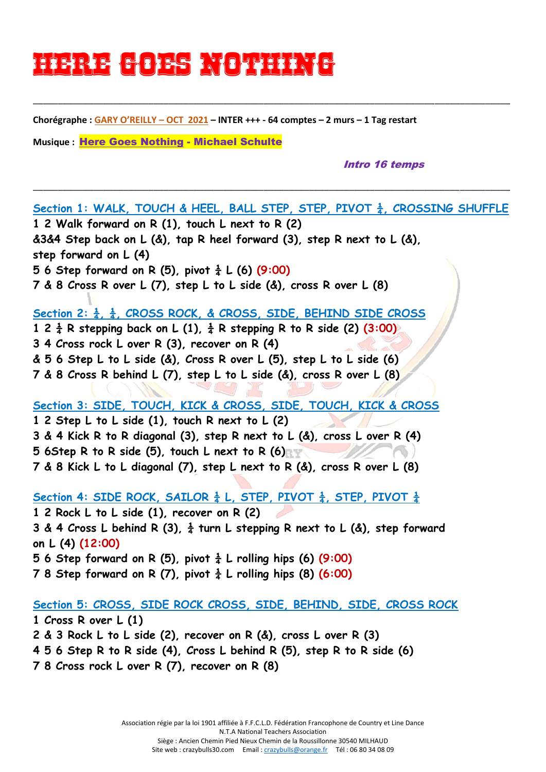# Here Goes Nother NG

**Chorégraphe : GARY O'REILLY – OCT 2021 – INTER +++ - 64 comptes – 2 murs – 1 Tag restart**

\_\_\_\_\_\_\_\_\_\_\_\_\_\_\_\_\_\_\_\_\_\_\_\_\_\_\_\_\_\_\_\_\_\_\_\_\_\_\_\_\_\_\_\_\_\_\_\_\_\_\_\_\_\_\_\_\_\_\_\_\_\_\_\_\_\_\_\_\_\_\_\_\_\_\_\_\_\_\_\_\_\_\_\_\_\_\_\_\_\_\_\_\_\_\_

\_\_\_\_\_\_\_\_\_\_\_\_\_\_\_\_\_\_\_\_\_\_\_\_\_\_\_\_\_\_\_\_\_\_\_\_\_\_\_\_\_\_\_\_\_\_\_\_\_\_\_\_\_\_\_\_\_\_\_\_\_\_\_\_\_\_\_\_\_\_\_\_\_\_\_\_\_\_\_\_\_\_\_\_\_\_\_\_\_\_\_\_\_\_\_

**Musique :** [Here Goes Nothing](https://www.copperknob.co.uk/music/here-goes-nothing-ID60174.aspx) - Michael Schulte

#### Intro 16 temps

**Section 1: WALK, TOUCH & HEEL, BALL STEP, STEP, PIVOT ¼, CROSSING SHUFFLE 1 2 Walk forward on R (1), touch L next to R (2) &3&4 Step back on L (&), tap R heel forward (3), step R next to L (&), step forward on L (4) 5** 6 **Step forward on R** (5), pivot  $\frac{1}{4}$  L (6) (9:00) **7 & 8 Cross R over L (7), step L to L side (&), cross R over L (8) Section 2: ¼, ¼, CROSS ROCK, & CROSS, SIDE, BEHIND SIDE CROSS 1 2 ¼ R stepping back on L (1), ¼ R stepping R to R side (2) (3:00) 3 4 Cross rock L over R (3), recover on R (4) & 5 6 Step L to L side (&), Cross R over L (5), step L to L side (6) 7 & 8 Cross R behind L (7), step L to L side (&), cross R over L (8) Section 3: SIDE, TOUCH, KICK & CROSS, SIDE, TOUCH, KICK & CROSS 1 2 Step L to L side (1), touch R next to L (2) 3 & 4 Kick R to R diagonal (3), step R next to L (&), cross L over R (4) 5 6Step R to R side (5), touch L next to R (6) 7 & 8 Kick L to L diagonal (7), step L next to R (&), cross R over L (8)** Section 4: SIDE ROCK, SAILOR  $\frac{1}{4}$  L, STEP, PIVOT  $\frac{1}{4}$ , STEP, PIVOT  $\frac{1}{4}$ **1 2 Rock L to L side (1), recover on R (2) 3 & 4 Cross L behind R (3), ¼ turn L stepping R next to L (&), step forward on L (4) (12:00) 5** 6 **Step forward on R** (5), pivot  $\frac{1}{4}$  L rolling hips (6) (9:00) **7** 8 **Step forward on R** (7), pivot  $\frac{1}{4}$  L rolling hips (8) (6:00)

## **Section 5: CROSS, SIDE ROCK CROSS, SIDE, BEHIND, SIDE, CROSS ROCK**

**1 Cross R over L (1) 2 & 3 Rock L to L side (2), recover on R (&), cross L over R (3) 4 5 6 Step R to R side (4), Cross L behind R (5), step R to R side (6)**

**7 8 Cross rock L over R (7), recover on R (8)**